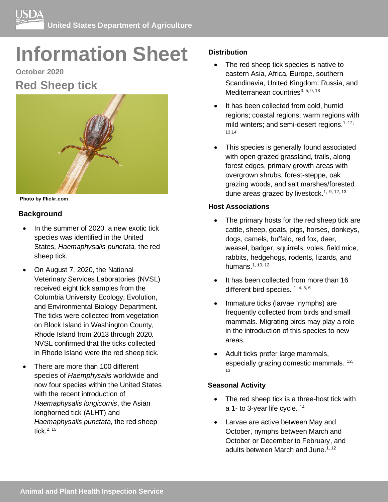# **Information Sheet**

# **October 2020 Red Sheep tick**



**Photo by Flickr.com**

# **Background**

- In the summer of 2020, a new exotic tick species was identified in the United States, *Haemaphysalis punctata,* the red sheep tick*.*
- On August 7, 2020, the National Veterinary Services Laboratories (NVSL) received eight tick samples from the Columbia University Ecology, Evolution, and Environmental Biology Department. The ticks were collected from vegetation on Block Island in Washington County, Rhode Island from 2013 through 2020. NVSL confirmed that the ticks collected in Rhode Island were the red sheep tick.
- There are more than 100 different species of *Haemphysalis* worldwide and now four species within the United States with the recent introduction of *Haemaphysalis longicornis*, the Asian longhorned tick (ALHT) and *Haemaphysalis punctata*, the red sheep tick. 2, 15

# **Distribution**

- The red sheep tick species is native to eastern Asia, Africa, Europe, southern Scandinavia, United Kingdom, Russia, and Mediterranean countries<sup>3, 5, 9, 13</sup>
- It has been collected from cold, humid regions; coastal regions; warm regions with mild winters; and semi-desert regions.<sup>1, 12,</sup> 13,14
- This species is generally found associated with open grazed grassland, trails, along forest edges, primary growth areas with overgrown shrubs, forest-steppe, oak grazing woods, and salt marshes/forested dune areas grazed by livestock.<sup>1, 9, 12, 13</sup>

# **Host Associations**

- The primary hosts for the red sheep tick are cattle, sheep, goats, pigs, horses, donkeys, dogs, camels, buffalo, red fox, deer, weasel, badger, squirrels, voles, field mice, rabbits, hedgehogs, rodents, lizards, and humans.1, 10, 12
- It has been collected from more than 16 different bird species. 1, 4, 5, 6
- Immature ticks (larvae, nymphs) are frequently collected from birds and small mammals. Migrating birds may play a role in the introduction of this species to new areas.
- Adult ticks prefer large mammals, especially grazing domestic mammals. <sup>12,</sup> 13

#### **Seasonal Activity**

- The red sheep tick is a three-host tick with a 1- to 3-year life cycle. <sup>14</sup>
- Larvae are active between May and October, nymphs between March and October or December to February, and adults between March and June.<sup>1, 12</sup>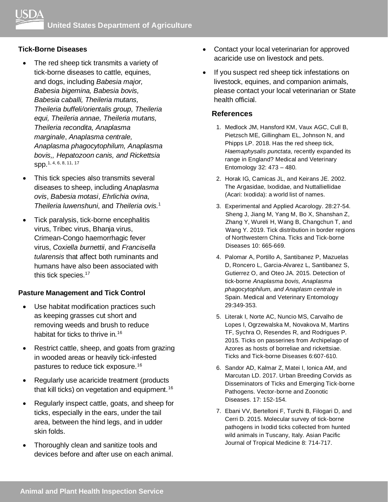#### **Tick-Borne Diseases**

- The red sheep tick transmits a variety of tick-borne diseases to cattle, equines, and dogs, including *Babesia major, Babesia bigemina, Babesia bovis, Babesia caballi, Theileria mutans, Theileria buffeli/orientalis group, Theileria equi, Theileria annae, Theileria mutans, Theileria recondita, Anaplasma marginale*, *Anaplasma centrale, Anaplasma phagocytophilum, Anaplasma bovis,, Hepatozoon canis, and Rickettsia*  spp. 1, 4, 6, 8, 11, 17
- This tick species also transmits several diseases to sheep, including *Anaplasma ovis*, *Babesia motasi*, *Ehrlichia ovina*, *Theileria luwenshuni*, and *Theileria ovis.* 1
- Tick paralysis, tick-borne encephalitis virus, Tribec virus, Bhanja virus, Crimean-Congo haemorrhagic fever virus, *Coxiella burnettii*, and *Francisella tularensis* that affect both ruminants and humans have also been associated with this tick species.<sup>17</sup>

# **Pasture Management and Tick Control**

- Use habitat modification practices such as keeping grasses cut short and removing weeds and brush to reduce habitat for ticks to thrive in.<sup>16</sup>
- Restrict cattle, sheep, and goats from grazing in wooded areas or heavily tick-infested pastures to reduce tick exposure.<sup>16</sup>
- Regularly use acaricide treatment (products that kill ticks) on vegetation and equipment.<sup>16</sup>
- Regularly inspect cattle, goats, and sheep for ticks, especially in the ears, under the tail area, between the hind legs, and in udder skin folds.
- Thoroughly clean and sanitize tools and devices before and after use on each animal.
- Contact your local veterinarian for approved acaricide use on livestock and pets.
- If you suspect red sheep tick infestations on livestock, equines, and companion animals, please contact your local veterinarian or State health official.

#### **References**

- 1. Medlock JM, Hansford KM, Vaux AGC, Cull B, Pietzsch ME, Gillingham EL, Johnson N, and Phipps LP. 2018. Has the red sheep tick, *Haemaphysalis punctata*, recently expanded its range in England? Medical and Veterinary Entomology 32: 473 – 480.
- 2. Horak IG, Camicas JL, and Keirans JE. 2002. The Argasidae, Ixodidae, and Nuttalliellidae (Acari: Ixodida): a world list of names.
- 3. Experimental and Applied Acarology. 28:27-54. Sheng J, Jiang M, Yang M, Bo X, Shanshan Z, Zhang Y, Wureli H, Wang B, Changchun T, and Wang Y. 2019. Tick distribution in border regions of Northwestern China. Ticks and Tick-borne Diseases 10: 665-669.
- 4. Palomar A, Portillo A, Santibanez P, Mazuelas D, Roncero L, Garcia-Alvarez L, Santibanez S, Gutierrez O, and Oteo JA. 2015. Detection of tick-borne *Anaplasma bovis, Anaplasma phagocytophilum, and Anaplasm centrale* in Spain. Medical and Veterinary Entomology 29:349-353.
- 5. Literak I, Norte AC, Nuncio MS, Carvalho de Lopes I, Ogrzewalska M, Novakova M, Martins TF, Sychra O, Resendes R, and Rodrigues P. 2015. Ticks on passerines from Archipelago of Azores as hosts of borreliae and rickettsiae. Ticks and Tick-borne Diseases 6:607-610.
- 6. Sandor AD, Kalmar Z, Matei I, Ionica AM, and Marcutan LD. 2017. Urban Breeding Corvids as Disseminators of Ticks and Emerging Tick-borne Pathogens. Vector-borne and Zoonotic Diseases. 17: 152-154.
- 7. Ebani VV, Bertelloni F, Turchi B, Filogari D, and Cerri D. 2015. Molecular survey of tick-borne pathogens in Ixodid ticks collected from hunted wild animals in Tuscany, Italy. Asian Pacific Journal of Tropical Medicine 8: 714-717.